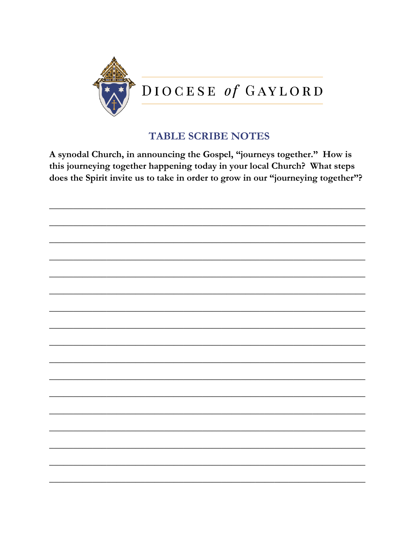

## **TABLE SCRIBE NOTES**

A synodal Church, in announcing the Gospel, "journeys together." How is this journeying together happening today in your local Church? What steps does the Spirit invite us to take in order to grow in our "journeying together"?

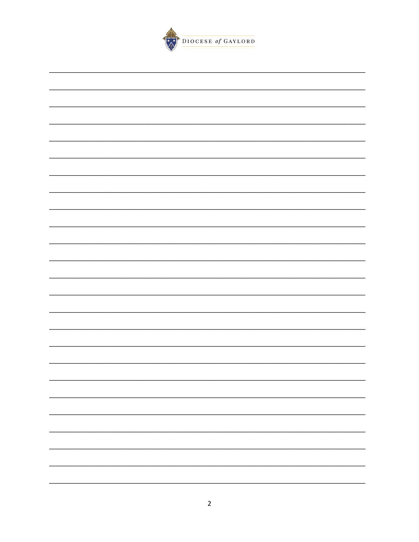

| <u> 1989 - Johann Stoff, amerikansk politik (d. 1989)</u> |  |
|-----------------------------------------------------------|--|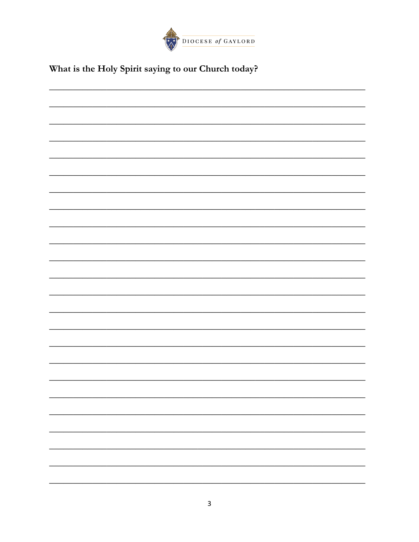

What is the Holy Spirit saying to our Church today?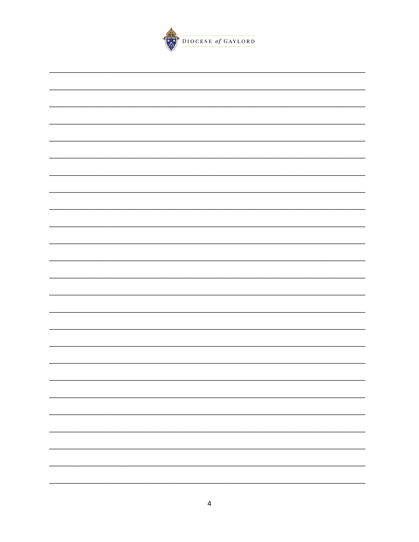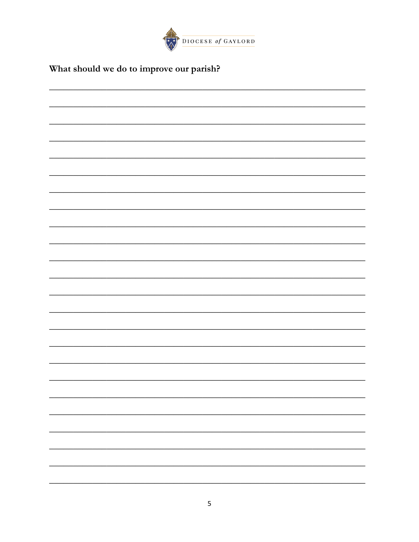

What should we do to improve our parish?